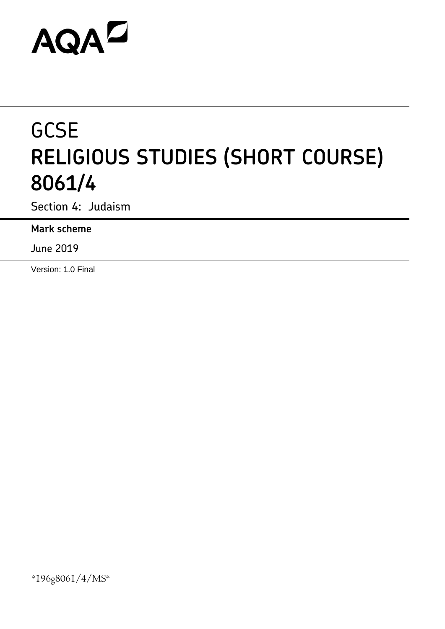# **AQAZ**

# **GCSE RELIGIOUS STUDIES (SHORT COURSE) 8061/4**

Section 4: Judaism

**Mark scheme**

June 2019

Version: 1.0 Final

\*196g8061/4/MS\*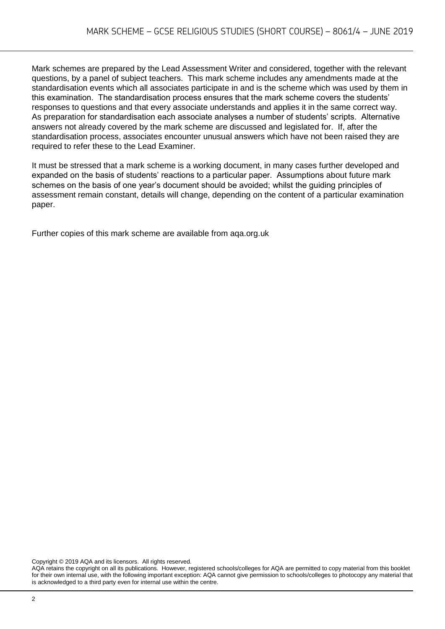Mark schemes are prepared by the Lead Assessment Writer and considered, together with the relevant questions, by a panel of subject teachers. This mark scheme includes any amendments made at the standardisation events which all associates participate in and is the scheme which was used by them in this examination. The standardisation process ensures that the mark scheme covers the students' responses to questions and that every associate understands and applies it in the same correct way. As preparation for standardisation each associate analyses a number of students' scripts. Alternative answers not already covered by the mark scheme are discussed and legislated for. If, after the standardisation process, associates encounter unusual answers which have not been raised they are required to refer these to the Lead Examiner.

It must be stressed that a mark scheme is a working document, in many cases further developed and expanded on the basis of students' reactions to a particular paper. Assumptions about future mark schemes on the basis of one year's document should be avoided; whilst the guiding principles of assessment remain constant, details will change, depending on the content of a particular examination paper.

Further copies of this mark scheme are available from aqa.org.uk

Copyright © 2019 AQA and its licensors. All rights reserved.

AQA retains the copyright on all its publications. However, registered schools/colleges for AQA are permitted to copy material from this booklet for their own internal use, with the following important exception: AQA cannot give permission to schools/colleges to photocopy any material that is acknowledged to a third party even for internal use within the centre.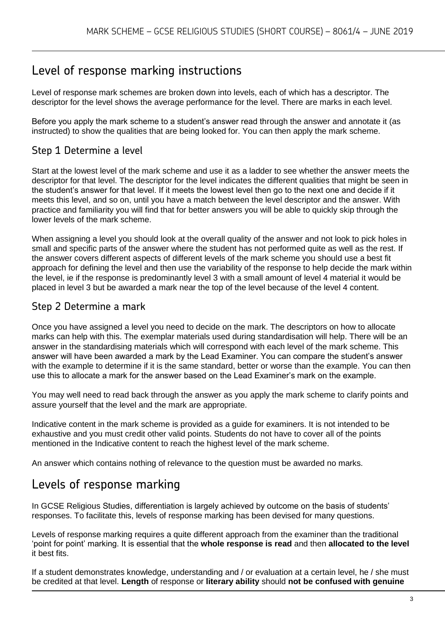# Level of response marking instructions

Level of response mark schemes are broken down into levels, each of which has a descriptor. The descriptor for the level shows the average performance for the level. There are marks in each level.

Before you apply the mark scheme to a student's answer read through the answer and annotate it (as instructed) to show the qualities that are being looked for. You can then apply the mark scheme.

#### Step 1 Determine a level

Start at the lowest level of the mark scheme and use it as a ladder to see whether the answer meets the descriptor for that level. The descriptor for the level indicates the different qualities that might be seen in the student's answer for that level. If it meets the lowest level then go to the next one and decide if it meets this level, and so on, until you have a match between the level descriptor and the answer. With practice and familiarity you will find that for better answers you will be able to quickly skip through the lower levels of the mark scheme.

When assigning a level you should look at the overall quality of the answer and not look to pick holes in small and specific parts of the answer where the student has not performed quite as well as the rest. If the answer covers different aspects of different levels of the mark scheme you should use a best fit approach for defining the level and then use the variability of the response to help decide the mark within the level, ie if the response is predominantly level 3 with a small amount of level 4 material it would be placed in level 3 but be awarded a mark near the top of the level because of the level 4 content.

#### Step 2 Determine a mark

Once you have assigned a level you need to decide on the mark. The descriptors on how to allocate marks can help with this. The exemplar materials used during standardisation will help. There will be an answer in the standardising materials which will correspond with each level of the mark scheme. This answer will have been awarded a mark by the Lead Examiner. You can compare the student's answer with the example to determine if it is the same standard, better or worse than the example. You can then use this to allocate a mark for the answer based on the Lead Examiner's mark on the example.

You may well need to read back through the answer as you apply the mark scheme to clarify points and assure yourself that the level and the mark are appropriate.

Indicative content in the mark scheme is provided as a guide for examiners. It is not intended to be exhaustive and you must credit other valid points. Students do not have to cover all of the points mentioned in the Indicative content to reach the highest level of the mark scheme.

An answer which contains nothing of relevance to the question must be awarded no marks.

## Levels of response marking

In GCSE Religious Studies, differentiation is largely achieved by outcome on the basis of students' responses. To facilitate this, levels of response marking has been devised for many questions.

Levels of response marking requires a quite different approach from the examiner than the traditional 'point for point' marking. It is essential that the **whole response is read** and then **allocated to the level**  it best fits.

If a student demonstrates knowledge, understanding and / or evaluation at a certain level, he / she must be credited at that level. **Length** of response or **literary ability** should **not be confused with genuine**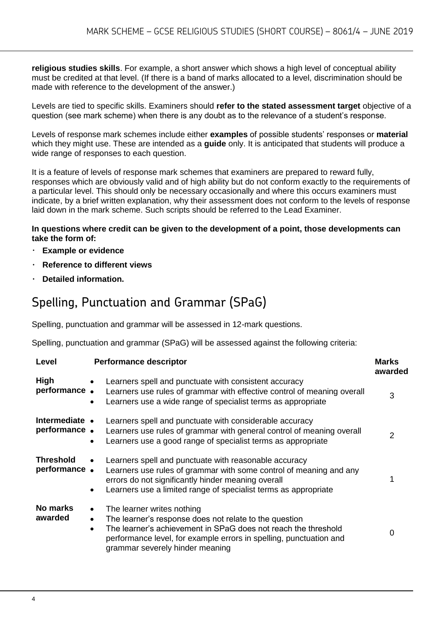**religious studies skills**. For example, a short answer which shows a high level of conceptual ability must be credited at that level. (If there is a band of marks allocated to a level, discrimination should be made with reference to the development of the answer.)

Levels are tied to specific skills. Examiners should **refer to the stated assessment target** objective of a question (see mark scheme) when there is any doubt as to the relevance of a student's response.

Levels of response mark schemes include either **examples** of possible students' responses or **material**  which they might use. These are intended as a **guide** only. It is anticipated that students will produce a wide range of responses to each question.

It is a feature of levels of response mark schemes that examiners are prepared to reward fully, responses which are obviously valid and of high ability but do not conform exactly to the requirements of a particular level. This should only be necessary occasionally and where this occurs examiners must indicate, by a brief written explanation, why their assessment does not conform to the levels of response laid down in the mark scheme. Such scripts should be referred to the Lead Examiner.

#### **In questions where credit can be given to the development of a point, those developments can take the form of:**

- **Example or evidence**
- **Reference to different views**
- **Detailed information.**

# Spelling, Punctuation and Grammar (SPaG)

Spelling, punctuation and grammar will be assessed in 12-mark questions.

Spelling, punctuation and grammar (SPaG) will be assessed against the following criteria:

| Level                            | <b>Performance descriptor</b>                                                                                                                                                                                                                                                                          | <b>Marks</b><br>awarded |
|----------------------------------|--------------------------------------------------------------------------------------------------------------------------------------------------------------------------------------------------------------------------------------------------------------------------------------------------------|-------------------------|
| <b>High</b><br>performance.      | Learners spell and punctuate with consistent accuracy<br>$\bullet$<br>Learners use rules of grammar with effective control of meaning overall<br>Learners use a wide range of specialist terms as appropriate                                                                                          | 3                       |
| Intermediate •<br>performance.   | Learners spell and punctuate with considerable accuracy<br>Learners use rules of grammar with general control of meaning overall<br>Learners use a good range of specialist terms as appropriate<br>$\bullet$                                                                                          | $\mathcal{P}$           |
| <b>Threshold</b><br>performance. | Learners spell and punctuate with reasonable accuracy<br>Learners use rules of grammar with some control of meaning and any<br>errors do not significantly hinder meaning overall<br>Learners use a limited range of specialist terms as appropriate<br>$\bullet$                                      |                         |
| No marks<br>awarded              | The learner writes nothing<br>$\bullet$<br>The learner's response does not relate to the question<br>$\bullet$<br>The learner's achievement in SPaG does not reach the threshold<br>$\bullet$<br>performance level, for example errors in spelling, punctuation and<br>grammar severely hinder meaning | 0                       |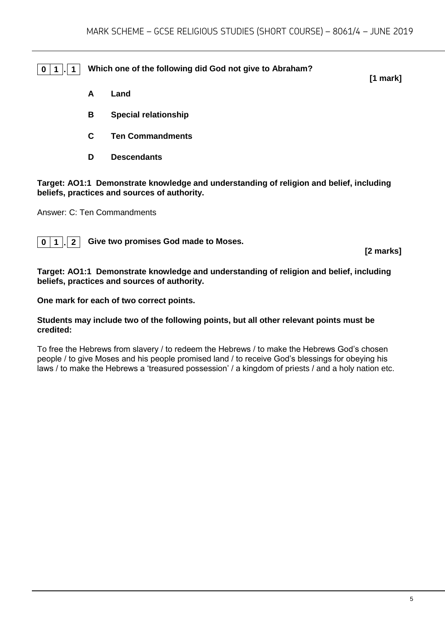**0 1 . 1 Which one of the following did God not give to Abraham?**

- **A Land**
- **B Special relationship**
- **C Ten Commandments**
- **D Descendants**

**Target: AO1:1 Demonstrate knowledge and understanding of religion and belief, including beliefs, practices and sources of authority.**

Answer: C: Ten Commandments

**0 1 . 2 Give two promises God made to Moses.**

**[2 marks]**

**[1 mark]**

**Target: AO1:1 Demonstrate knowledge and understanding of religion and belief, including beliefs, practices and sources of authority.**

**One mark for each of two correct points.** 

#### **Students may include two of the following points, but all other relevant points must be credited:**

To free the Hebrews from slavery / to redeem the Hebrews / to make the Hebrews God's chosen people / to give Moses and his people promised land / to receive God's blessings for obeying his laws / to make the Hebrews a 'treasured possession' / a kingdom of priests / and a holy nation etc.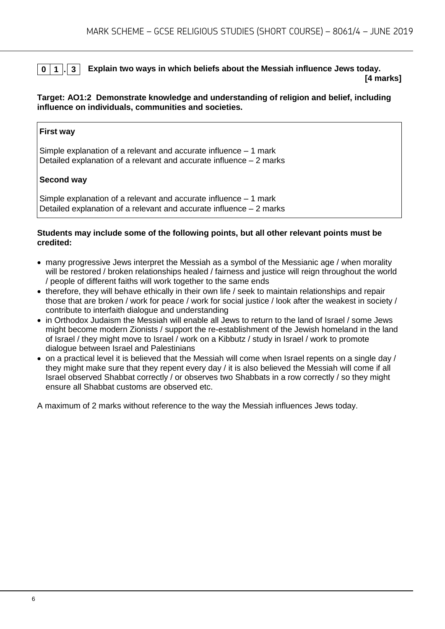### **0 1 . 3 Explain two ways in which beliefs about the Messiah influence Jews today.**

**[4 marks]**

#### **Target: AO1:2 Demonstrate knowledge and understanding of religion and belief, including influence on individuals, communities and societies.**

#### **First way**

Simple explanation of a relevant and accurate influence – 1 mark Detailed explanation of a relevant and accurate influence – 2 marks

#### **Second way**

Simple explanation of a relevant and accurate influence – 1 mark Detailed explanation of a relevant and accurate influence – 2 marks

#### **Students may include some of the following points, but all other relevant points must be credited:**

- many progressive Jews interpret the Messiah as a symbol of the Messianic age / when morality will be restored / broken relationships healed / fairness and justice will reign throughout the world / people of different faiths will work together to the same ends
- therefore, they will behave ethically in their own life / seek to maintain relationships and repair those that are broken / work for peace / work for social justice / look after the weakest in society / contribute to interfaith dialogue and understanding
- in Orthodox Judaism the Messiah will enable all Jews to return to the land of Israel / some Jews might become modern Zionists / support the re-establishment of the Jewish homeland in the land of Israel / they might move to Israel / work on a Kibbutz / study in Israel / work to promote dialogue between Israel and Palestinians
- on a practical level it is believed that the Messiah will come when Israel repents on a single day / they might make sure that they repent every day / it is also believed the Messiah will come if all Israel observed Shabbat correctly / or observes two Shabbats in a row correctly / so they might ensure all Shabbat customs are observed etc.

A maximum of 2 marks without reference to the way the Messiah influences Jews today.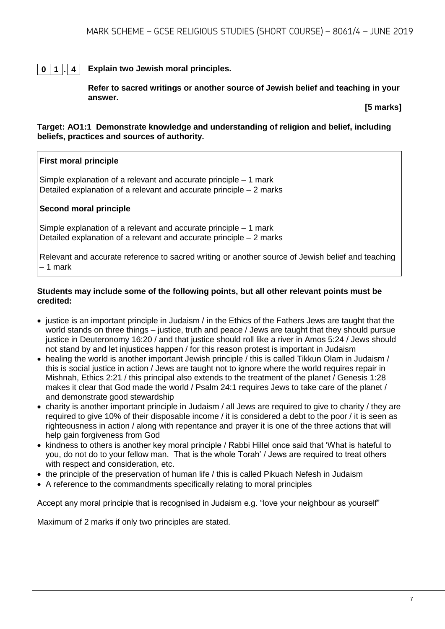#### **0 1 . 4 Explain two Jewish moral principles.**

**Refer to sacred writings or another source of Jewish belief and teaching in your answer.**

**[5 marks]**

**Target: AO1:1 Demonstrate knowledge and understanding of religion and belief, including beliefs, practices and sources of authority.**

#### **First moral principle**

Simple explanation of a relevant and accurate principle – 1 mark Detailed explanation of a relevant and accurate principle – 2 marks

#### **Second moral principle**

Simple explanation of a relevant and accurate principle – 1 mark Detailed explanation of a relevant and accurate principle – 2 marks

Relevant and accurate reference to sacred writing or another source of Jewish belief and teaching – 1 mark

#### **Students may include some of the following points, but all other relevant points must be credited:**

- justice is an important principle in Judaism / in the Ethics of the Fathers Jews are taught that the world stands on three things – justice, truth and peace / Jews are taught that they should pursue justice in Deuteronomy 16:20 / and that justice should roll like a river in Amos 5:24 / Jews should not stand by and let injustices happen / for this reason protest is important in Judaism
- healing the world is another important Jewish principle / this is called Tikkun Olam in Judaism / this is social justice in action / Jews are taught not to ignore where the world requires repair in Mishnah, Ethics 2:21 / this principal also extends to the treatment of the planet / Genesis 1:28 makes it clear that God made the world / Psalm 24:1 requires Jews to take care of the planet / and demonstrate good stewardship
- charity is another important principle in Judaism / all Jews are required to give to charity / they are required to give 10% of their disposable income / it is considered a debt to the poor / it is seen as righteousness in action / along with repentance and prayer it is one of the three actions that will help gain forgiveness from God
- kindness to others is another key moral principle / Rabbi Hillel once said that 'What is hateful to you, do not do to your fellow man. That is the whole Torah' / Jews are required to treat others with respect and consideration, etc.
- the principle of the preservation of human life / this is called Pikuach Nefesh in Judaism
- A reference to the commandments specifically relating to moral principles

Accept any moral principle that is recognised in Judaism e.g. "love your neighbour as yourself"

Maximum of 2 marks if only two principles are stated.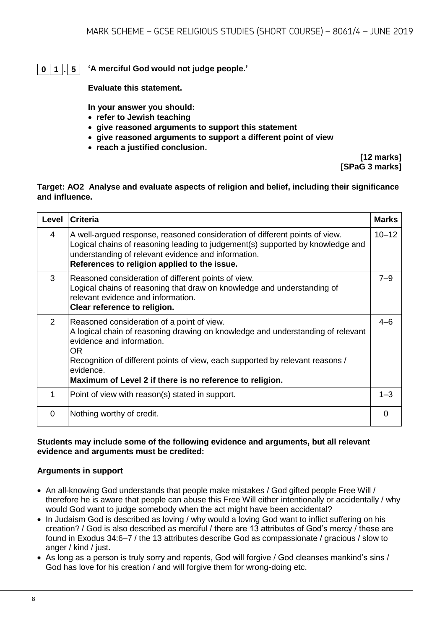**0 1 . 5 'A merciful God would not judge people.'**

**Evaluate this statement.** 

**In your answer you should:**

- **refer to Jewish teaching**
- **give reasoned arguments to support this statement**
- **give reasoned arguments to support a different point of view**
- **reach a justified conclusion.**

**[12 marks] [SPaG 3 marks]**

#### **Target: AO2 Analyse and evaluate aspects of religion and belief, including their significance and influence.**

| Level    | <b>Criteria</b>                                                                                                                                                                                                                                                                                                                   | <b>Marks</b> |
|----------|-----------------------------------------------------------------------------------------------------------------------------------------------------------------------------------------------------------------------------------------------------------------------------------------------------------------------------------|--------------|
| 4        | A well-argued response, reasoned consideration of different points of view.<br>Logical chains of reasoning leading to judgement(s) supported by knowledge and<br>understanding of relevant evidence and information.<br>References to religion applied to the issue.                                                              | $10 - 12$    |
| 3        | Reasoned consideration of different points of view.<br>Logical chains of reasoning that draw on knowledge and understanding of<br>relevant evidence and information.<br>Clear reference to religion.                                                                                                                              | $7 - 9$      |
| 2        | Reasoned consideration of a point of view.<br>A logical chain of reasoning drawing on knowledge and understanding of relevant<br>evidence and information.<br><b>OR</b><br>Recognition of different points of view, each supported by relevant reasons /<br>evidence.<br>Maximum of Level 2 if there is no reference to religion. | $4 - 6$      |
| 1        | Point of view with reason(s) stated in support.                                                                                                                                                                                                                                                                                   | $1 - 3$      |
| $\Omega$ | Nothing worthy of credit.                                                                                                                                                                                                                                                                                                         | 0            |

#### **Students may include some of the following evidence and arguments, but all relevant evidence and arguments must be credited:**

#### **Arguments in support**

- An all-knowing God understands that people make mistakes / God gifted people Free Will / therefore he is aware that people can abuse this Free Will either intentionally or accidentally / why would God want to judge somebody when the act might have been accidental?
- In Judaism God is described as loving / why would a loving God want to inflict suffering on his creation? / God is also described as merciful / there are 13 attributes of God's mercy / these are found in Exodus 34:6–7 / the 13 attributes describe God as compassionate / gracious / slow to anger / kind / just.
- As long as a person is truly sorry and repents, God will forgive / God cleanses mankind's sins / God has love for his creation / and will forgive them for wrong-doing etc.